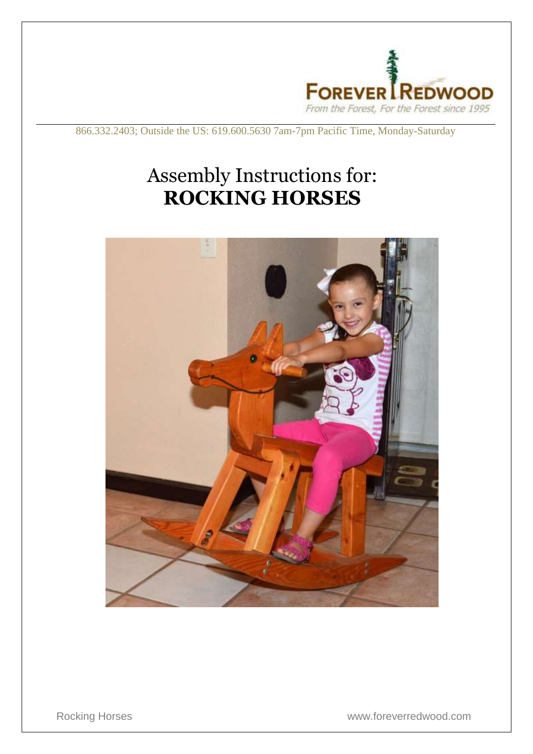

866.332.2403; Outside the US: 619.600.5630 7am-7pm Pacific Time, Monday-Saturday

## Assembly Instructions for: **ROCKING HORSES**



Rocking Horses www.foreverredwood.com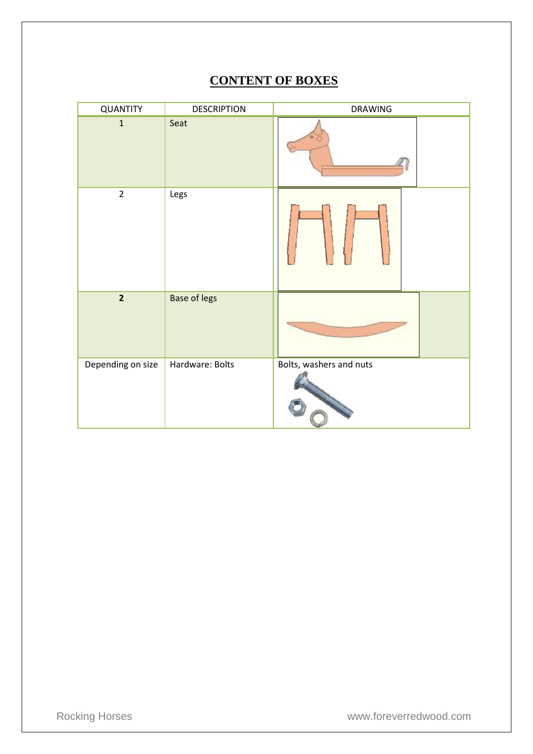## **CONTENT OF BOXES**

| <b>QUANTITY</b>   | <b>DESCRIPTION</b>  | <b>DRAWING</b>          |
|-------------------|---------------------|-------------------------|
| $\mathbf 1$       | Seat                |                         |
| $\overline{2}$    | Legs                |                         |
| $\overline{2}$    | <b>Base of legs</b> |                         |
| Depending on size | Hardware: Bolts     | Bolts, washers and nuts |